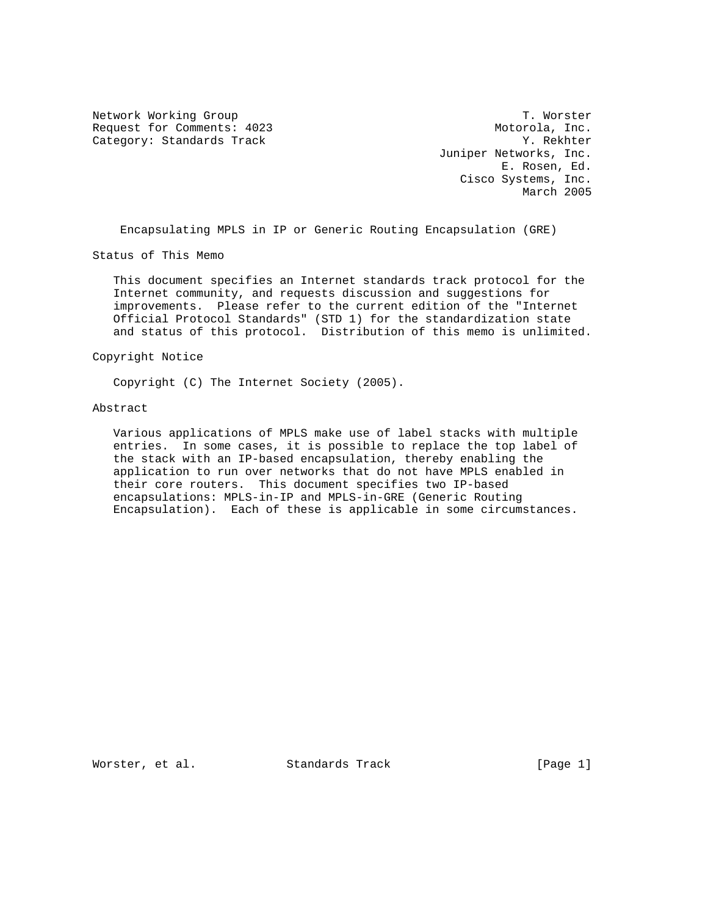Network Working Group T. Worster Request for Comments: 4023 Motorola, Inc. Category: Standards Track Track Y. Rekhter

 Juniper Networks, Inc. E. Rosen, Ed. Cisco Systems, Inc. March 2005

Encapsulating MPLS in IP or Generic Routing Encapsulation (GRE)

Status of This Memo

 This document specifies an Internet standards track protocol for the Internet community, and requests discussion and suggestions for improvements. Please refer to the current edition of the "Internet Official Protocol Standards" (STD 1) for the standardization state and status of this protocol. Distribution of this memo is unlimited.

#### Copyright Notice

Copyright (C) The Internet Society (2005).

#### Abstract

 Various applications of MPLS make use of label stacks with multiple entries. In some cases, it is possible to replace the top label of the stack with an IP-based encapsulation, thereby enabling the application to run over networks that do not have MPLS enabled in their core routers. This document specifies two IP-based encapsulations: MPLS-in-IP and MPLS-in-GRE (Generic Routing Encapsulation). Each of these is applicable in some circumstances.

Worster, et al. Standards Track [Page 1]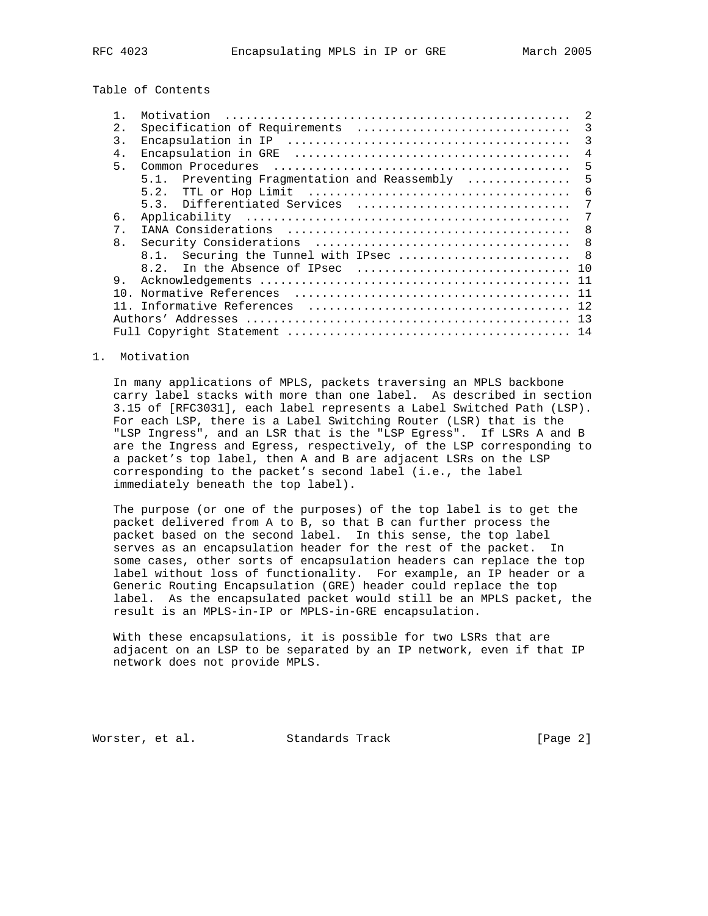# Table of Contents

|                | Motivation                                                                                | 2              |
|----------------|-------------------------------------------------------------------------------------------|----------------|
| 2.             | Specification of Requirements                                                             | 3              |
| 3.             |                                                                                           | 3              |
| 4.             |                                                                                           | $\overline{4}$ |
| 5.             |                                                                                           | 5              |
|                | 5.1. Preventing Fragmentation and Reassembly                                              | 5              |
|                |                                                                                           | 6              |
|                | 5.3. Differentiated Services                                                              | 7              |
| б.             |                                                                                           | 7              |
| $7$ .          |                                                                                           | 8              |
| 8 <sub>1</sub> |                                                                                           | 8              |
|                | 8.1. Securing the Tunnel with IPsec  8                                                    |                |
|                | 8.2. In the Absence of IPsec $\ldots, \ldots, \ldots, \ldots, \ldots, \ldots, \ldots, 10$ |                |
| 9.             |                                                                                           |                |
| 1 N            |                                                                                           |                |
|                |                                                                                           |                |
|                |                                                                                           |                |
|                |                                                                                           |                |
|                |                                                                                           |                |

#### 1. Motivation

 In many applications of MPLS, packets traversing an MPLS backbone carry label stacks with more than one label. As described in section 3.15 of [RFC3031], each label represents a Label Switched Path (LSP). For each LSP, there is a Label Switching Router (LSR) that is the "LSP Ingress", and an LSR that is the "LSP Egress". If LSRs A and B are the Ingress and Egress, respectively, of the LSP corresponding to a packet's top label, then A and B are adjacent LSRs on the LSP corresponding to the packet's second label (i.e., the label immediately beneath the top label).

 The purpose (or one of the purposes) of the top label is to get the packet delivered from A to B, so that B can further process the packet based on the second label. In this sense, the top label serves as an encapsulation header for the rest of the packet. In some cases, other sorts of encapsulation headers can replace the top label without loss of functionality. For example, an IP header or a Generic Routing Encapsulation (GRE) header could replace the top label. As the encapsulated packet would still be an MPLS packet, the result is an MPLS-in-IP or MPLS-in-GRE encapsulation.

 With these encapsulations, it is possible for two LSRs that are adjacent on an LSP to be separated by an IP network, even if that IP network does not provide MPLS.

Worster, et al. Standards Track [Page 2]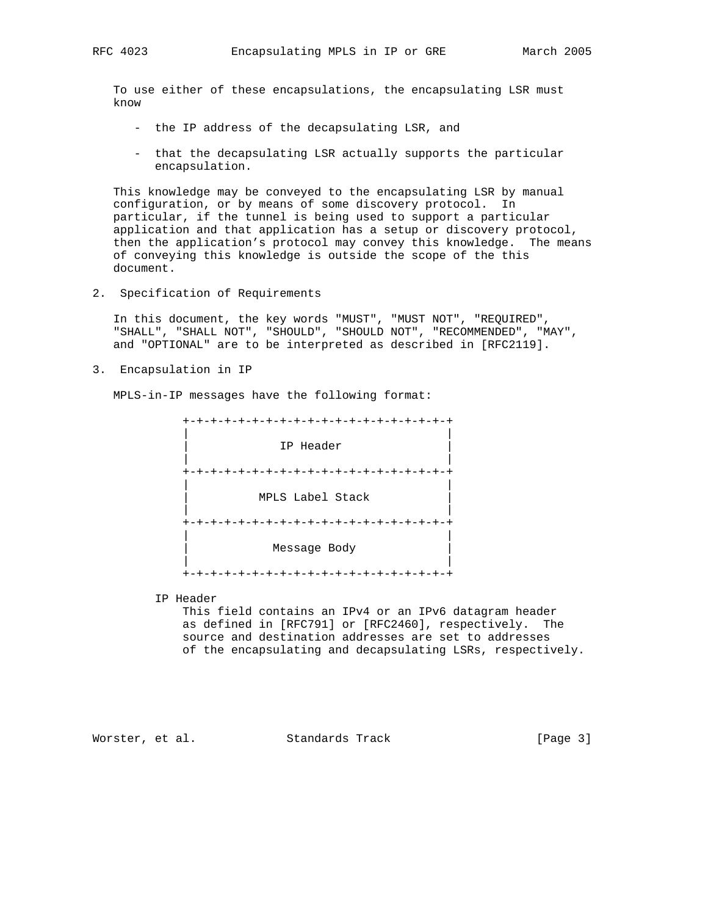To use either of these encapsulations, the encapsulating LSR must know

- the IP address of the decapsulating LSR, and
- that the decapsulating LSR actually supports the particular encapsulation.

 This knowledge may be conveyed to the encapsulating LSR by manual configuration, or by means of some discovery protocol. In particular, if the tunnel is being used to support a particular application and that application has a setup or discovery protocol, then the application's protocol may convey this knowledge. The means of conveying this knowledge is outside the scope of the this document.

2. Specification of Requirements

 In this document, the key words "MUST", "MUST NOT", "REQUIRED", "SHALL", "SHALL NOT", "SHOULD", "SHOULD NOT", "RECOMMENDED", "MAY", and "OPTIONAL" are to be interpreted as described in [RFC2119].

3. Encapsulation in IP

MPLS-in-IP messages have the following format:

 +-+-+-+-+-+-+-+-+-+-+-+-+-+-+-+-+-+-+-+ | | IP Header | | +-+-+-+-+-+-+-+-+-+-+-+-+-+-+-+-+-+-+-+ | | | MPLS Label Stack | | | +-+-+-+-+-+-+-+-+-+-+-+-+-+-+-+-+-+-+-+ | | | Message Body | | | +-+-+-+-+-+-+-+-+-+-+-+-+-+-+-+-+-+-+-+

IP Header

 This field contains an IPv4 or an IPv6 datagram header as defined in [RFC791] or [RFC2460], respectively. The source and destination addresses are set to addresses of the encapsulating and decapsulating LSRs, respectively.

Worster, et al. Standards Track [Page 3]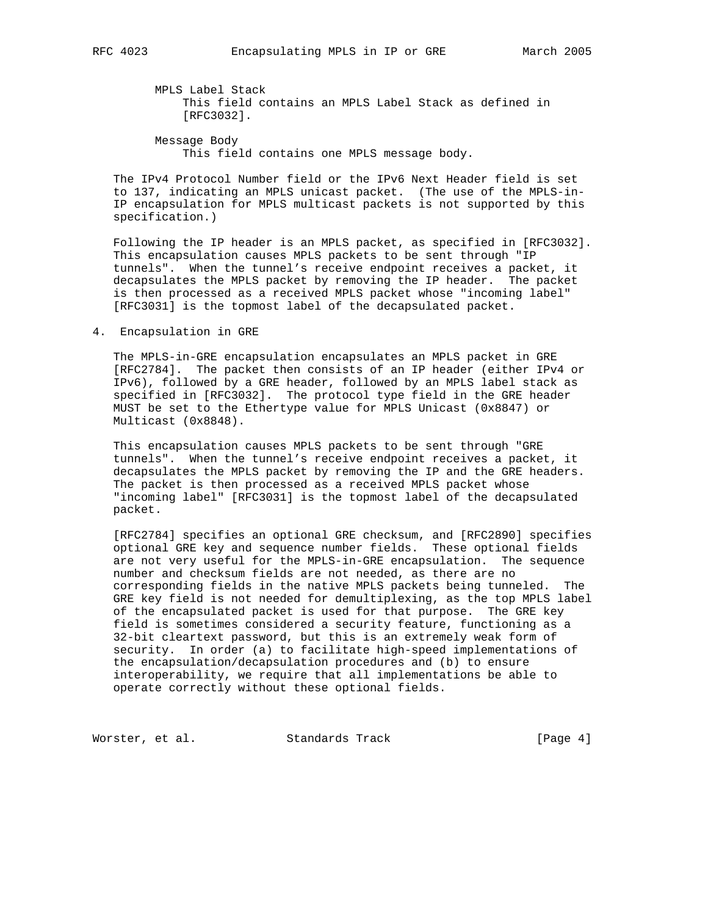MPLS Label Stack This field contains an MPLS Label Stack as defined in [RFC3032].

 Message Body This field contains one MPLS message body.

 The IPv4 Protocol Number field or the IPv6 Next Header field is set to 137, indicating an MPLS unicast packet. (The use of the MPLS-in- IP encapsulation for MPLS multicast packets is not supported by this specification.)

 Following the IP header is an MPLS packet, as specified in [RFC3032]. This encapsulation causes MPLS packets to be sent through "IP tunnels". When the tunnel's receive endpoint receives a packet, it decapsulates the MPLS packet by removing the IP header. The packet is then processed as a received MPLS packet whose "incoming label" [RFC3031] is the topmost label of the decapsulated packet.

4. Encapsulation in GRE

 The MPLS-in-GRE encapsulation encapsulates an MPLS packet in GRE [RFC2784]. The packet then consists of an IP header (either IPv4 or IPv6), followed by a GRE header, followed by an MPLS label stack as specified in [RFC3032]. The protocol type field in the GRE header MUST be set to the Ethertype value for MPLS Unicast (0x8847) or Multicast (0x8848).

 This encapsulation causes MPLS packets to be sent through "GRE tunnels". When the tunnel's receive endpoint receives a packet, it decapsulates the MPLS packet by removing the IP and the GRE headers. The packet is then processed as a received MPLS packet whose "incoming label" [RFC3031] is the topmost label of the decapsulated packet.

 [RFC2784] specifies an optional GRE checksum, and [RFC2890] specifies optional GRE key and sequence number fields. These optional fields are not very useful for the MPLS-in-GRE encapsulation. The sequence number and checksum fields are not needed, as there are no corresponding fields in the native MPLS packets being tunneled. The GRE key field is not needed for demultiplexing, as the top MPLS label of the encapsulated packet is used for that purpose. The GRE key field is sometimes considered a security feature, functioning as a 32-bit cleartext password, but this is an extremely weak form of security. In order (a) to facilitate high-speed implementations of the encapsulation/decapsulation procedures and (b) to ensure interoperability, we require that all implementations be able to operate correctly without these optional fields.

Worster, et al. Standards Track [Page 4]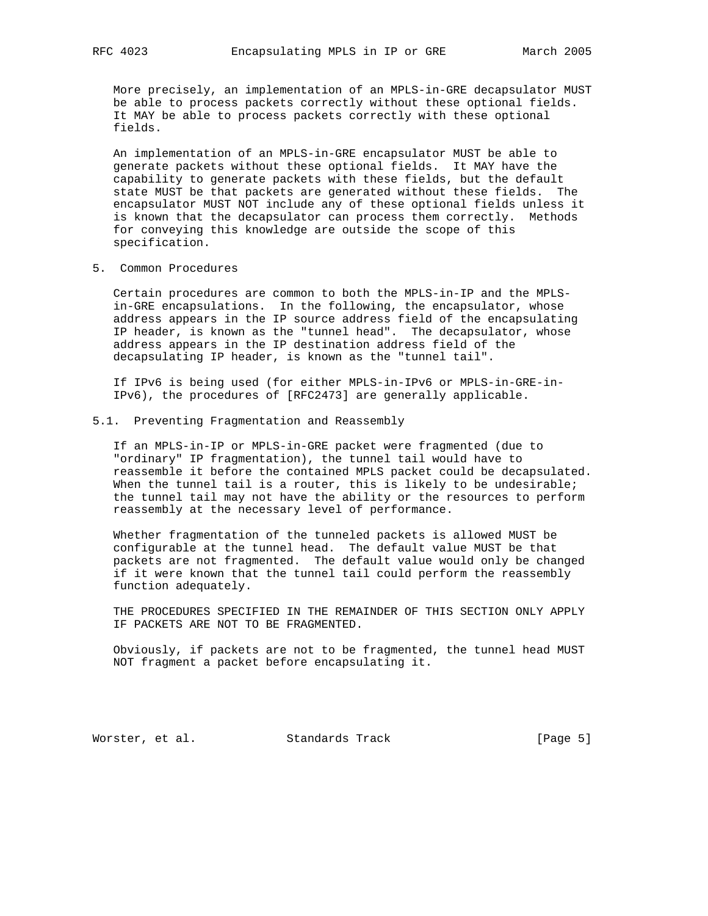More precisely, an implementation of an MPLS-in-GRE decapsulator MUST be able to process packets correctly without these optional fields. It MAY be able to process packets correctly with these optional fields.

 An implementation of an MPLS-in-GRE encapsulator MUST be able to generate packets without these optional fields. It MAY have the capability to generate packets with these fields, but the default state MUST be that packets are generated without these fields. The encapsulator MUST NOT include any of these optional fields unless it is known that the decapsulator can process them correctly. Methods for conveying this knowledge are outside the scope of this specification.

5. Common Procedures

 Certain procedures are common to both the MPLS-in-IP and the MPLS in-GRE encapsulations. In the following, the encapsulator, whose address appears in the IP source address field of the encapsulating IP header, is known as the "tunnel head". The decapsulator, whose address appears in the IP destination address field of the decapsulating IP header, is known as the "tunnel tail".

 If IPv6 is being used (for either MPLS-in-IPv6 or MPLS-in-GRE-in- IPv6), the procedures of [RFC2473] are generally applicable.

## 5.1. Preventing Fragmentation and Reassembly

 If an MPLS-in-IP or MPLS-in-GRE packet were fragmented (due to "ordinary" IP fragmentation), the tunnel tail would have to reassemble it before the contained MPLS packet could be decapsulated. When the tunnel tail is a router, this is likely to be undesirable; the tunnel tail may not have the ability or the resources to perform reassembly at the necessary level of performance.

 Whether fragmentation of the tunneled packets is allowed MUST be configurable at the tunnel head. The default value MUST be that packets are not fragmented. The default value would only be changed if it were known that the tunnel tail could perform the reassembly function adequately.

 THE PROCEDURES SPECIFIED IN THE REMAINDER OF THIS SECTION ONLY APPLY IF PACKETS ARE NOT TO BE FRAGMENTED.

 Obviously, if packets are not to be fragmented, the tunnel head MUST NOT fragment a packet before encapsulating it.

Worster, et al. Standards Track [Page 5]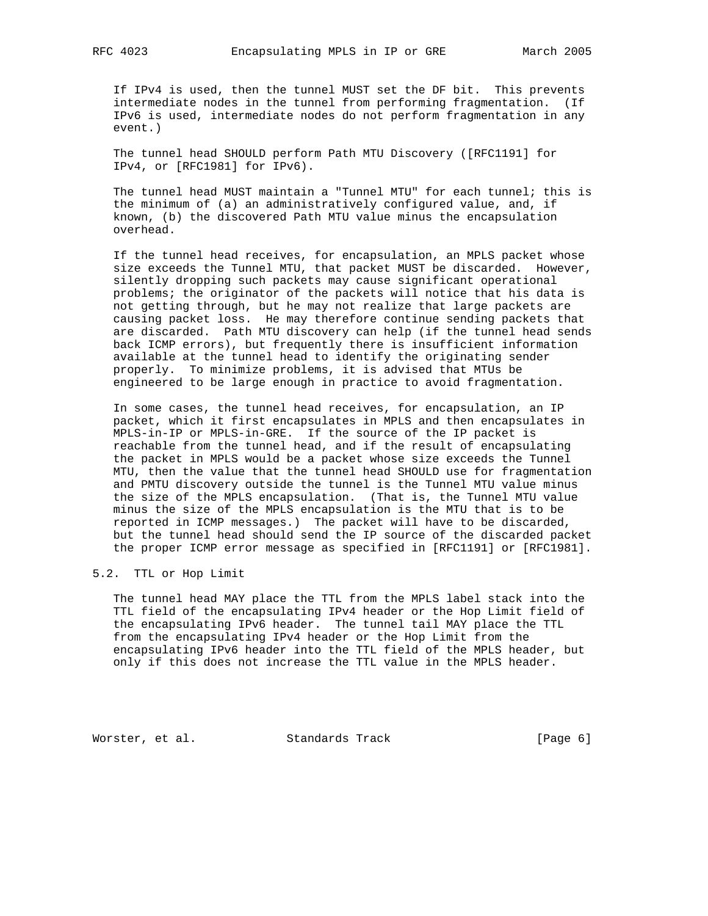If IPv4 is used, then the tunnel MUST set the DF bit. This prevents intermediate nodes in the tunnel from performing fragmentation. (If IPv6 is used, intermediate nodes do not perform fragmentation in any event.)

 The tunnel head SHOULD perform Path MTU Discovery ([RFC1191] for IPv4, or [RFC1981] for IPv6).

 The tunnel head MUST maintain a "Tunnel MTU" for each tunnel; this is the minimum of (a) an administratively configured value, and, if known, (b) the discovered Path MTU value minus the encapsulation overhead.

 If the tunnel head receives, for encapsulation, an MPLS packet whose size exceeds the Tunnel MTU, that packet MUST be discarded. However, silently dropping such packets may cause significant operational problems; the originator of the packets will notice that his data is not getting through, but he may not realize that large packets are causing packet loss. He may therefore continue sending packets that are discarded. Path MTU discovery can help (if the tunnel head sends back ICMP errors), but frequently there is insufficient information available at the tunnel head to identify the originating sender properly. To minimize problems, it is advised that MTUs be engineered to be large enough in practice to avoid fragmentation.

 In some cases, the tunnel head receives, for encapsulation, an IP packet, which it first encapsulates in MPLS and then encapsulates in MPLS-in-IP or MPLS-in-GRE. If the source of the IP packet is reachable from the tunnel head, and if the result of encapsulating the packet in MPLS would be a packet whose size exceeds the Tunnel MTU, then the value that the tunnel head SHOULD use for fragmentation and PMTU discovery outside the tunnel is the Tunnel MTU value minus the size of the MPLS encapsulation. (That is, the Tunnel MTU value minus the size of the MPLS encapsulation is the MTU that is to be reported in ICMP messages.) The packet will have to be discarded, but the tunnel head should send the IP source of the discarded packet the proper ICMP error message as specified in [RFC1191] or [RFC1981].

### 5.2. TTL or Hop Limit

 The tunnel head MAY place the TTL from the MPLS label stack into the TTL field of the encapsulating IPv4 header or the Hop Limit field of the encapsulating IPv6 header. The tunnel tail MAY place the TTL from the encapsulating IPv4 header or the Hop Limit from the encapsulating IPv6 header into the TTL field of the MPLS header, but only if this does not increase the TTL value in the MPLS header.

Worster, et al. Standards Track [Page 6]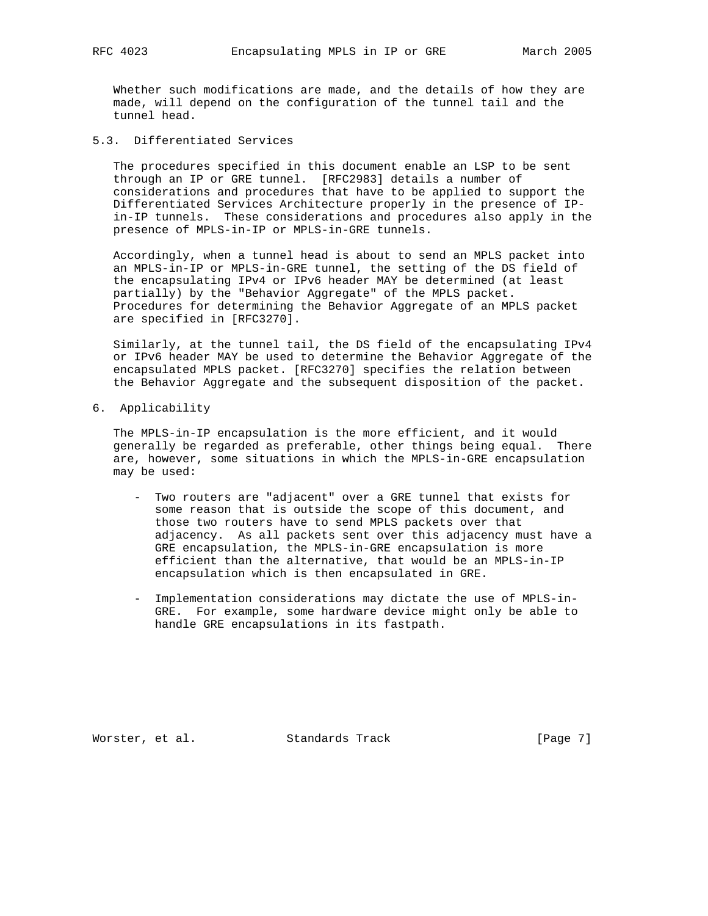Whether such modifications are made, and the details of how they are made, will depend on the configuration of the tunnel tail and the tunnel head.

# 5.3. Differentiated Services

 The procedures specified in this document enable an LSP to be sent through an IP or GRE tunnel. [RFC2983] details a number of considerations and procedures that have to be applied to support the Differentiated Services Architecture properly in the presence of IP in-IP tunnels. These considerations and procedures also apply in the presence of MPLS-in-IP or MPLS-in-GRE tunnels.

 Accordingly, when a tunnel head is about to send an MPLS packet into an MPLS-in-IP or MPLS-in-GRE tunnel, the setting of the DS field of the encapsulating IPv4 or IPv6 header MAY be determined (at least partially) by the "Behavior Aggregate" of the MPLS packet. Procedures for determining the Behavior Aggregate of an MPLS packet are specified in [RFC3270].

 Similarly, at the tunnel tail, the DS field of the encapsulating IPv4 or IPv6 header MAY be used to determine the Behavior Aggregate of the encapsulated MPLS packet. [RFC3270] specifies the relation between the Behavior Aggregate and the subsequent disposition of the packet.

6. Applicability

 The MPLS-in-IP encapsulation is the more efficient, and it would generally be regarded as preferable, other things being equal. There are, however, some situations in which the MPLS-in-GRE encapsulation may be used:

- Two routers are "adjacent" over a GRE tunnel that exists for some reason that is outside the scope of this document, and those two routers have to send MPLS packets over that adjacency. As all packets sent over this adjacency must have a GRE encapsulation, the MPLS-in-GRE encapsulation is more efficient than the alternative, that would be an MPLS-in-IP encapsulation which is then encapsulated in GRE.
- Implementation considerations may dictate the use of MPLS-in- GRE. For example, some hardware device might only be able to handle GRE encapsulations in its fastpath.

Worster, et al. Standards Track [Page 7]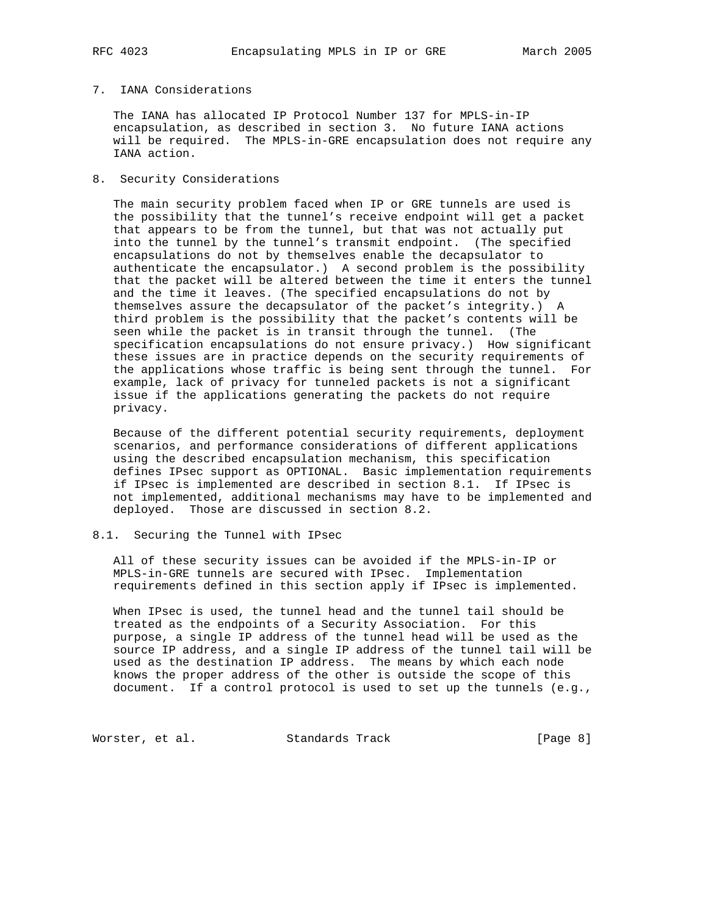# 7. IANA Considerations

 The IANA has allocated IP Protocol Number 137 for MPLS-in-IP encapsulation, as described in section 3. No future IANA actions will be required. The MPLS-in-GRE encapsulation does not require any IANA action.

8. Security Considerations

 The main security problem faced when IP or GRE tunnels are used is the possibility that the tunnel's receive endpoint will get a packet that appears to be from the tunnel, but that was not actually put into the tunnel by the tunnel's transmit endpoint. (The specified encapsulations do not by themselves enable the decapsulator to authenticate the encapsulator.) A second problem is the possibility that the packet will be altered between the time it enters the tunnel and the time it leaves. (The specified encapsulations do not by themselves assure the decapsulator of the packet's integrity.) A third problem is the possibility that the packet's contents will be seen while the packet is in transit through the tunnel. (The specification encapsulations do not ensure privacy.) How significant these issues are in practice depends on the security requirements of the applications whose traffic is being sent through the tunnel. For example, lack of privacy for tunneled packets is not a significant issue if the applications generating the packets do not require privacy.

 Because of the different potential security requirements, deployment scenarios, and performance considerations of different applications using the described encapsulation mechanism, this specification defines IPsec support as OPTIONAL. Basic implementation requirements if IPsec is implemented are described in section 8.1. If IPsec is not implemented, additional mechanisms may have to be implemented and deployed. Those are discussed in section 8.2.

## 8.1. Securing the Tunnel with IPsec

 All of these security issues can be avoided if the MPLS-in-IP or MPLS-in-GRE tunnels are secured with IPsec. Implementation requirements defined in this section apply if IPsec is implemented.

 When IPsec is used, the tunnel head and the tunnel tail should be treated as the endpoints of a Security Association. For this purpose, a single IP address of the tunnel head will be used as the source IP address, and a single IP address of the tunnel tail will be used as the destination IP address. The means by which each node knows the proper address of the other is outside the scope of this document. If a control protocol is used to set up the tunnels (e.g.,

Worster, et al. Standards Track [Page 8]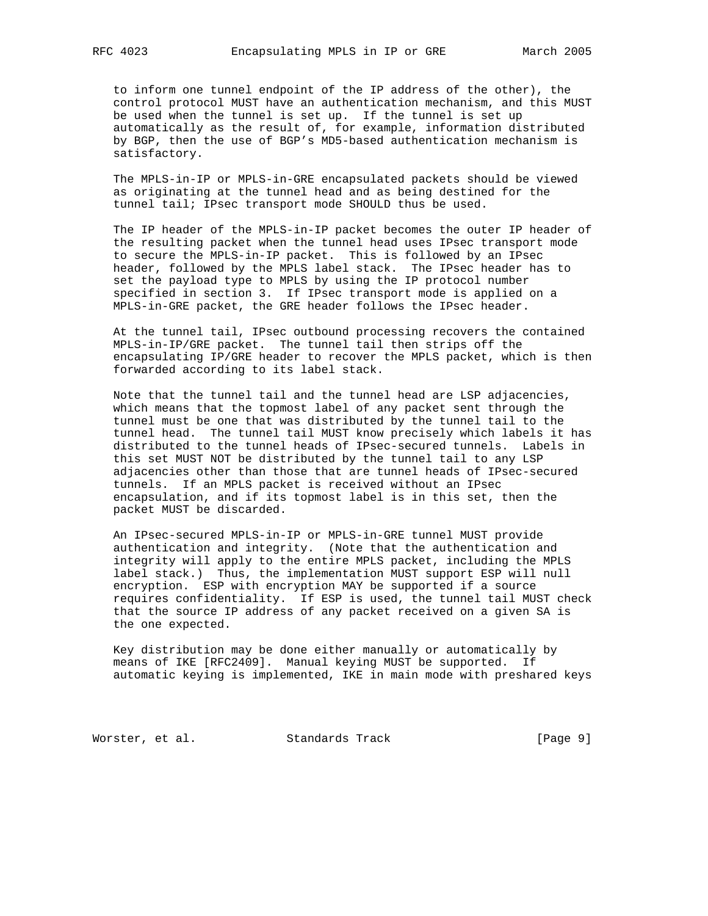to inform one tunnel endpoint of the IP address of the other), the control protocol MUST have an authentication mechanism, and this MUST be used when the tunnel is set up. If the tunnel is set up automatically as the result of, for example, information distributed by BGP, then the use of BGP's MD5-based authentication mechanism is satisfactory.

 The MPLS-in-IP or MPLS-in-GRE encapsulated packets should be viewed as originating at the tunnel head and as being destined for the tunnel tail; IPsec transport mode SHOULD thus be used.

 The IP header of the MPLS-in-IP packet becomes the outer IP header of the resulting packet when the tunnel head uses IPsec transport mode to secure the MPLS-in-IP packet. This is followed by an IPsec header, followed by the MPLS label stack. The IPsec header has to set the payload type to MPLS by using the IP protocol number specified in section 3. If IPsec transport mode is applied on a MPLS-in-GRE packet, the GRE header follows the IPsec header.

 At the tunnel tail, IPsec outbound processing recovers the contained MPLS-in-IP/GRE packet. The tunnel tail then strips off the encapsulating IP/GRE header to recover the MPLS packet, which is then forwarded according to its label stack.

 Note that the tunnel tail and the tunnel head are LSP adjacencies, which means that the topmost label of any packet sent through the tunnel must be one that was distributed by the tunnel tail to the tunnel head. The tunnel tail MUST know precisely which labels it has distributed to the tunnel heads of IPsec-secured tunnels. Labels in this set MUST NOT be distributed by the tunnel tail to any LSP adjacencies other than those that are tunnel heads of IPsec-secured tunnels. If an MPLS packet is received without an IPsec encapsulation, and if its topmost label is in this set, then the packet MUST be discarded.

 An IPsec-secured MPLS-in-IP or MPLS-in-GRE tunnel MUST provide authentication and integrity. (Note that the authentication and integrity will apply to the entire MPLS packet, including the MPLS label stack.) Thus, the implementation MUST support ESP will null encryption. ESP with encryption MAY be supported if a source requires confidentiality. If ESP is used, the tunnel tail MUST check that the source IP address of any packet received on a given SA is the one expected.

 Key distribution may be done either manually or automatically by means of IKE [RFC2409]. Manual keying MUST be supported. If automatic keying is implemented, IKE in main mode with preshared keys

Worster, et al. Standards Track [Page 9]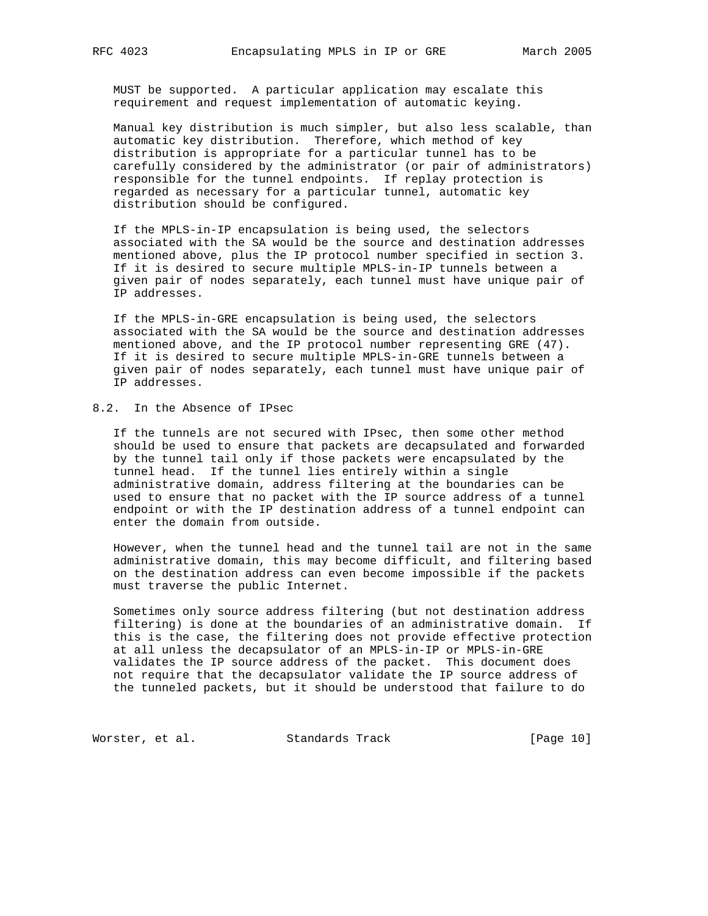MUST be supported. A particular application may escalate this requirement and request implementation of automatic keying.

 Manual key distribution is much simpler, but also less scalable, than automatic key distribution. Therefore, which method of key distribution is appropriate for a particular tunnel has to be carefully considered by the administrator (or pair of administrators) responsible for the tunnel endpoints. If replay protection is regarded as necessary for a particular tunnel, automatic key distribution should be configured.

 If the MPLS-in-IP encapsulation is being used, the selectors associated with the SA would be the source and destination addresses mentioned above, plus the IP protocol number specified in section 3. If it is desired to secure multiple MPLS-in-IP tunnels between a given pair of nodes separately, each tunnel must have unique pair of IP addresses.

 If the MPLS-in-GRE encapsulation is being used, the selectors associated with the SA would be the source and destination addresses mentioned above, and the IP protocol number representing GRE (47). If it is desired to secure multiple MPLS-in-GRE tunnels between a given pair of nodes separately, each tunnel must have unique pair of IP addresses.

# 8.2. In the Absence of IPsec

 If the tunnels are not secured with IPsec, then some other method should be used to ensure that packets are decapsulated and forwarded by the tunnel tail only if those packets were encapsulated by the tunnel head. If the tunnel lies entirely within a single administrative domain, address filtering at the boundaries can be used to ensure that no packet with the IP source address of a tunnel endpoint or with the IP destination address of a tunnel endpoint can enter the domain from outside.

 However, when the tunnel head and the tunnel tail are not in the same administrative domain, this may become difficult, and filtering based on the destination address can even become impossible if the packets must traverse the public Internet.

 Sometimes only source address filtering (but not destination address filtering) is done at the boundaries of an administrative domain. If this is the case, the filtering does not provide effective protection at all unless the decapsulator of an MPLS-in-IP or MPLS-in-GRE validates the IP source address of the packet. This document does not require that the decapsulator validate the IP source address of the tunneled packets, but it should be understood that failure to do

Worster, et al. Standards Track [Page 10]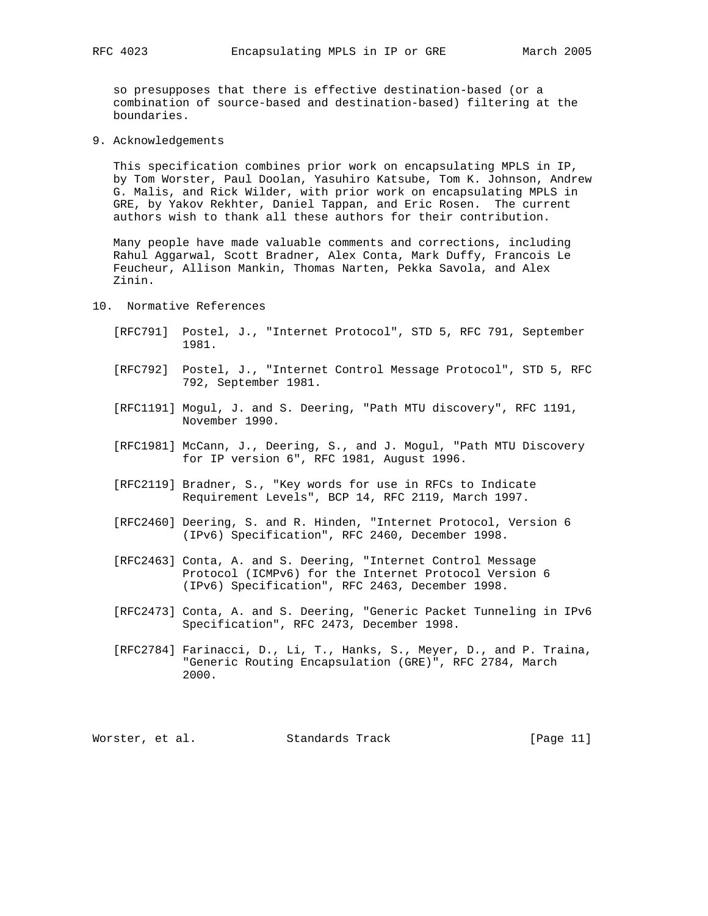so presupposes that there is effective destination-based (or a combination of source-based and destination-based) filtering at the boundaries.

9. Acknowledgements

 This specification combines prior work on encapsulating MPLS in IP, by Tom Worster, Paul Doolan, Yasuhiro Katsube, Tom K. Johnson, Andrew G. Malis, and Rick Wilder, with prior work on encapsulating MPLS in GRE, by Yakov Rekhter, Daniel Tappan, and Eric Rosen. The current authors wish to thank all these authors for their contribution.

 Many people have made valuable comments and corrections, including Rahul Aggarwal, Scott Bradner, Alex Conta, Mark Duffy, Francois Le Feucheur, Allison Mankin, Thomas Narten, Pekka Savola, and Alex Zinin.

- 10. Normative References
	- [RFC791] Postel, J., "Internet Protocol", STD 5, RFC 791, September 1981.
	- [RFC792] Postel, J., "Internet Control Message Protocol", STD 5, RFC 792, September 1981.
	- [RFC1191] Mogul, J. and S. Deering, "Path MTU discovery", RFC 1191, November 1990.
	- [RFC1981] McCann, J., Deering, S., and J. Mogul, "Path MTU Discovery for IP version 6", RFC 1981, August 1996.
	- [RFC2119] Bradner, S., "Key words for use in RFCs to Indicate Requirement Levels", BCP 14, RFC 2119, March 1997.
	- [RFC2460] Deering, S. and R. Hinden, "Internet Protocol, Version 6 (IPv6) Specification", RFC 2460, December 1998.
- [RFC2463] Conta, A. and S. Deering, "Internet Control Message Protocol (ICMPv6) for the Internet Protocol Version 6 (IPv6) Specification", RFC 2463, December 1998.
	- [RFC2473] Conta, A. and S. Deering, "Generic Packet Tunneling in IPv6 Specification", RFC 2473, December 1998.
	- [RFC2784] Farinacci, D., Li, T., Hanks, S., Meyer, D., and P. Traina, "Generic Routing Encapsulation (GRE)", RFC 2784, March 2000.

Worster, et al. Standards Track [Page 11]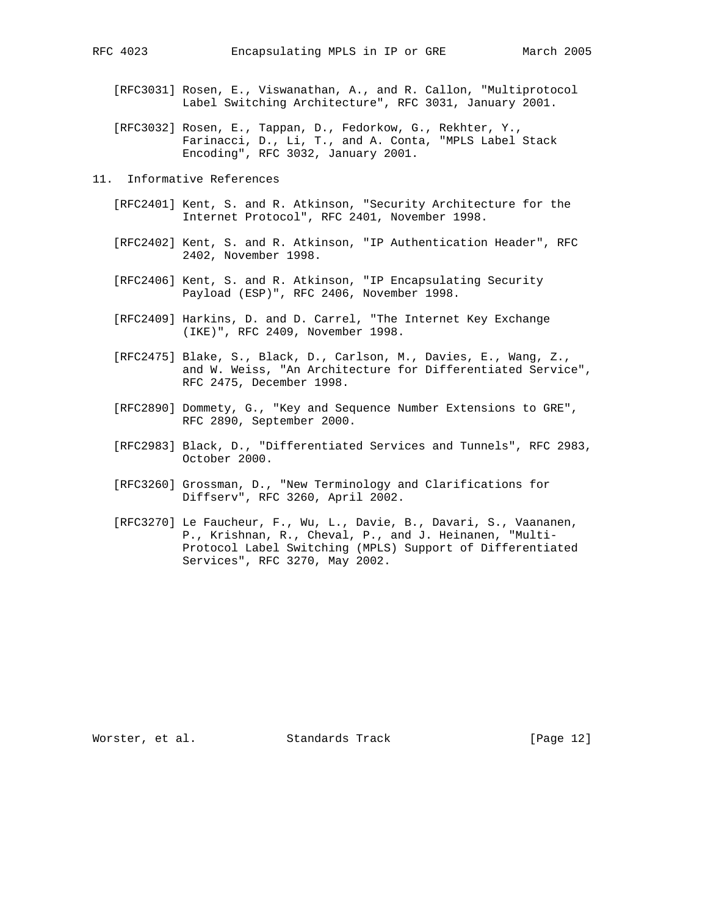- [RFC3031] Rosen, E., Viswanathan, A., and R. Callon, "Multiprotocol Label Switching Architecture", RFC 3031, January 2001.
- [RFC3032] Rosen, E., Tappan, D., Fedorkow, G., Rekhter, Y., Farinacci, D., Li, T., and A. Conta, "MPLS Label Stack Encoding", RFC 3032, January 2001.
- 11. Informative References
	- [RFC2401] Kent, S. and R. Atkinson, "Security Architecture for the Internet Protocol", RFC 2401, November 1998.
	- [RFC2402] Kent, S. and R. Atkinson, "IP Authentication Header", RFC 2402, November 1998.
	- [RFC2406] Kent, S. and R. Atkinson, "IP Encapsulating Security Payload (ESP)", RFC 2406, November 1998.
	- [RFC2409] Harkins, D. and D. Carrel, "The Internet Key Exchange (IKE)", RFC 2409, November 1998.
	- [RFC2475] Blake, S., Black, D., Carlson, M., Davies, E., Wang, Z., and W. Weiss, "An Architecture for Differentiated Service", RFC 2475, December 1998.
	- [RFC2890] Dommety, G., "Key and Sequence Number Extensions to GRE", RFC 2890, September 2000.
	- [RFC2983] Black, D., "Differentiated Services and Tunnels", RFC 2983, October 2000.
	- [RFC3260] Grossman, D., "New Terminology and Clarifications for Diffserv", RFC 3260, April 2002.
	- [RFC3270] Le Faucheur, F., Wu, L., Davie, B., Davari, S., Vaananen, P., Krishnan, R., Cheval, P., and J. Heinanen, "Multi- Protocol Label Switching (MPLS) Support of Differentiated Services", RFC 3270, May 2002.

Worster, et al. Standards Track [Page 12]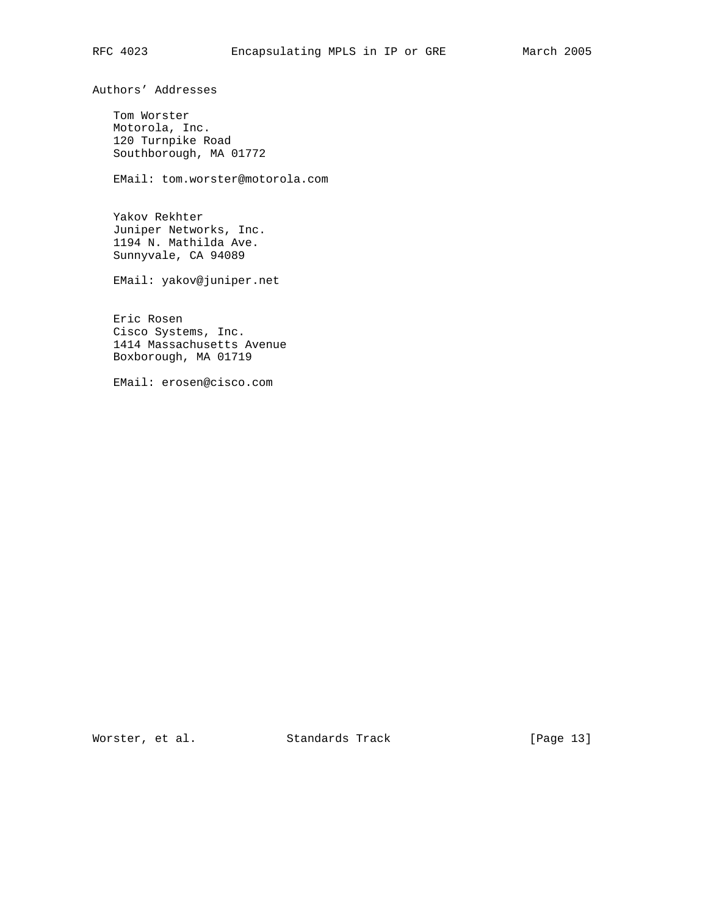Authors' Addresses

 Tom Worster Motorola, Inc. 120 Turnpike Road Southborough, MA 01772

EMail: tom.worster@motorola.com

 Yakov Rekhter Juniper Networks, Inc. 1194 N. Mathilda Ave. Sunnyvale, CA 94089

EMail: yakov@juniper.net

 Eric Rosen Cisco Systems, Inc. 1414 Massachusetts Avenue Boxborough, MA 01719

EMail: erosen@cisco.com

Worster, et al. Standards Track [Page 13]